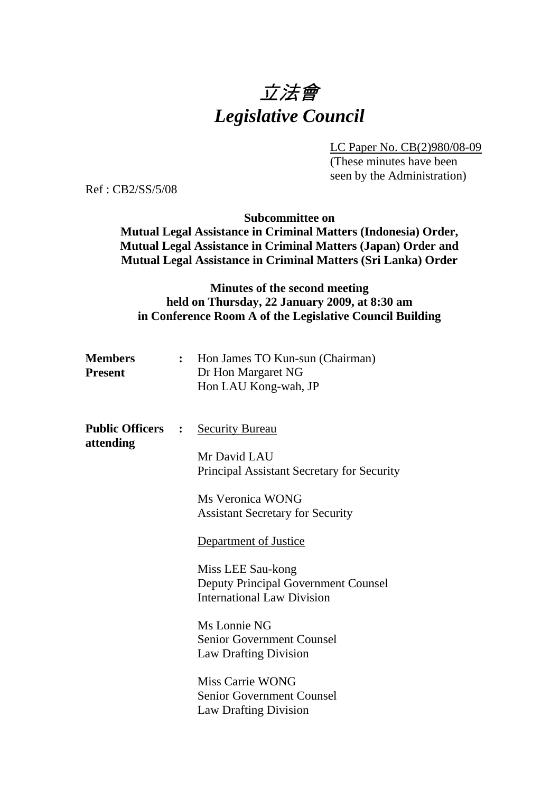# 立法會 *Legislative Council*

LC Paper No. CB(2)980/08-09

(These minutes have been seen by the Administration)

Ref : CB2/SS/5/08

**Subcommittee on** 

**Mutual Legal Assistance in Criminal Matters (Indonesia) Order, Mutual Legal Assistance in Criminal Matters (Japan) Order and Mutual Legal Assistance in Criminal Matters (Sri Lanka) Order** 

## **Minutes of the second meeting held on Thursday, 22 January 2009, at 8:30 am in Conference Room A of the Legislative Council Building**

| <b>Members</b> | Hon James TO Kun-sun (Chairman) |
|----------------|---------------------------------|
| <b>Present</b> | Dr Hon Margaret NG              |
|                | Hon LAU Kong-wah, JP            |

**Public Officers : Security Bureau attending** Mr David LAU Principal Assistant Secretary for Security

> Ms Veronica WONG Assistant Secretary for Security

Department of Justice

Miss LEE Sau-kong Deputy Principal Government Counsel International Law Division

Ms Lonnie NG Senior Government Counsel Law Drafting Division

Miss Carrie WONG Senior Government Counsel Law Drafting Division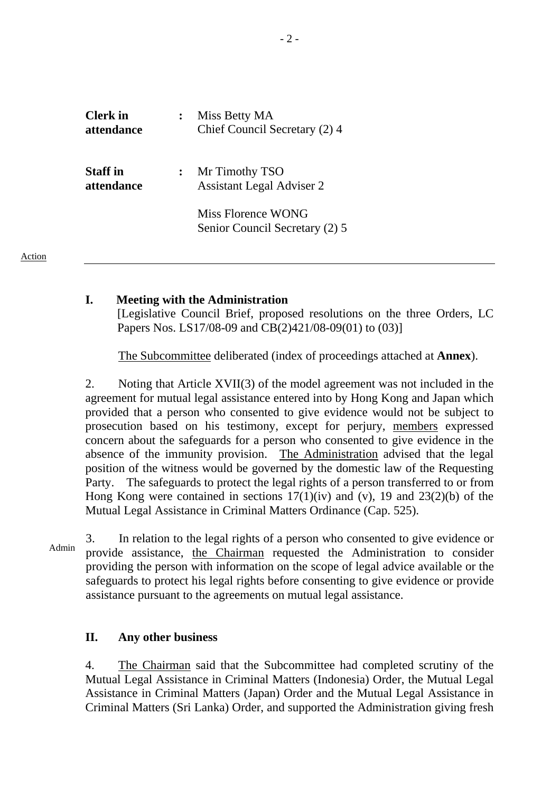| <b>Clerk</b> in<br>attendance |                | Miss Betty MA<br>Chief Council Secretary (2) 4       |
|-------------------------------|----------------|------------------------------------------------------|
| <b>Staff</b> in<br>attendance | $\ddot{\cdot}$ | Mr Timothy TSO<br><b>Assistant Legal Adviser 2</b>   |
|                               |                | Miss Florence WONG<br>Senior Council Secretary (2) 5 |

Action

#### **I. Meeting with the Administration**

[Legislative Council Brief, proposed resolutions on the three Orders, LC Papers Nos. LS17/08-09 and CB(2)421/08-09(01) to (03)]

The Subcommittee deliberated (index of proceedings attached at **Annex**).

2. Noting that Article XVII(3) of the model agreement was not included in the agreement for mutual legal assistance entered into by Hong Kong and Japan which provided that a person who consented to give evidence would not be subject to prosecution based on his testimony, except for perjury, members expressed concern about the safeguards for a person who consented to give evidence in the absence of the immunity provision. The Administration advised that the legal position of the witness would be governed by the domestic law of the Requesting Party. The safeguards to protect the legal rights of a person transferred to or from Hong Kong were contained in sections  $17(1)(iv)$  and  $(v)$ , 19 and  $23(2)(b)$  of the Mutual Legal Assistance in Criminal Matters Ordinance (Cap. 525).

3. In relation to the legal rights of a person who consented to give evidence or Admin provide assistance, the Chairman requested the Administration to consider providing the person with information on the scope of legal advice available or the safeguards to protect his legal rights before consenting to give evidence or provide assistance pursuant to the agreements on mutual legal assistance.

### **II. Any other business**

4. The Chairman said that the Subcommittee had completed scrutiny of the Mutual Legal Assistance in Criminal Matters (Indonesia) Order, the Mutual Legal Assistance in Criminal Matters (Japan) Order and the Mutual Legal Assistance in Criminal Matters (Sri Lanka) Order, and supported the Administration giving fresh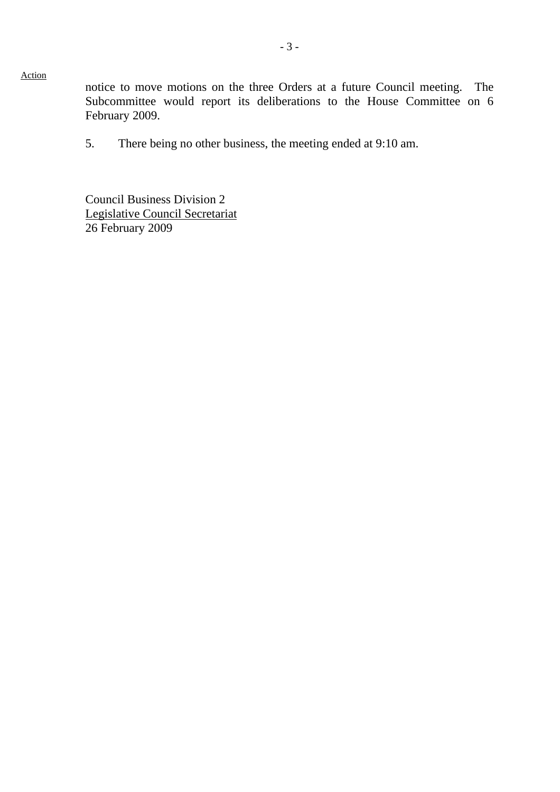Action

notice to move motions on the three Orders at a future Council meeting. The Subcommittee would report its deliberations to the House Committee on 6 February 2009.

5. There being no other business, the meeting ended at 9:10 am.

Council Business Division 2 Legislative Council Secretariat 26 February 2009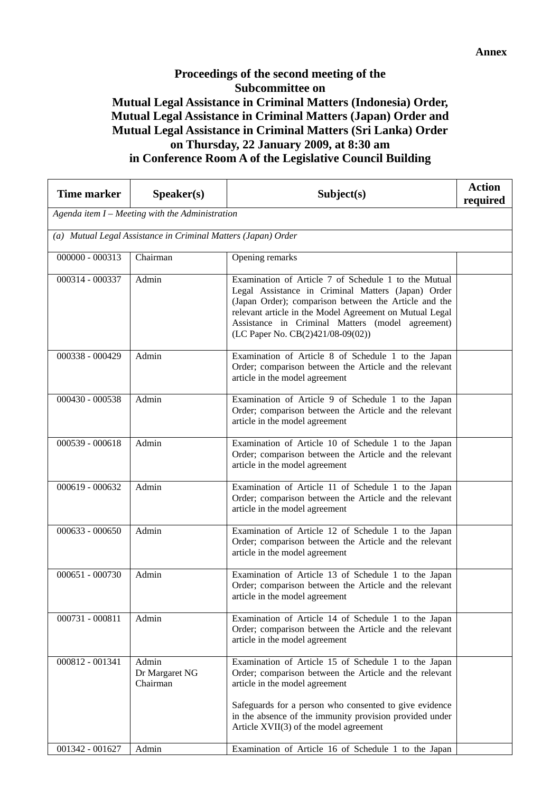## **Proceedings of the second meeting of the Subcommittee on Mutual Legal Assistance in Criminal Matters (Indonesia) Order, Mutual Legal Assistance in Criminal Matters (Japan) Order and Mutual Legal Assistance in Criminal Matters (Sri Lanka) Order on Thursday, 22 January 2009, at 8:30 am in Conference Room A of the Legislative Council Building**

| <b>Time marker</b> | Speaker(s)                                                    | Subject(s)                                                                                                                                                                                                                                                                                                              | <b>Action</b><br>required |  |  |
|--------------------|---------------------------------------------------------------|-------------------------------------------------------------------------------------------------------------------------------------------------------------------------------------------------------------------------------------------------------------------------------------------------------------------------|---------------------------|--|--|
|                    | Agenda item I - Meeting with the Administration               |                                                                                                                                                                                                                                                                                                                         |                           |  |  |
|                    | (a) Mutual Legal Assistance in Criminal Matters (Japan) Order |                                                                                                                                                                                                                                                                                                                         |                           |  |  |
| $000000 - 000313$  | Chairman                                                      | Opening remarks                                                                                                                                                                                                                                                                                                         |                           |  |  |
| 000314 - 000337    | Admin                                                         | Examination of Article 7 of Schedule 1 to the Mutual<br>Legal Assistance in Criminal Matters (Japan) Order<br>(Japan Order); comparison between the Article and the<br>relevant article in the Model Agreement on Mutual Legal<br>Assistance in Criminal Matters (model agreement)<br>(LC Paper No. CB(2)421/08-09(02)) |                           |  |  |
| 000338 - 000429    | Admin                                                         | Examination of Article 8 of Schedule 1 to the Japan<br>Order; comparison between the Article and the relevant<br>article in the model agreement                                                                                                                                                                         |                           |  |  |
| 000430 - 000538    | Admin                                                         | Examination of Article 9 of Schedule 1 to the Japan<br>Order; comparison between the Article and the relevant<br>article in the model agreement                                                                                                                                                                         |                           |  |  |
| 000539 - 000618    | Admin                                                         | Examination of Article 10 of Schedule 1 to the Japan<br>Order; comparison between the Article and the relevant<br>article in the model agreement                                                                                                                                                                        |                           |  |  |
| 000619 - 000632    | Admin                                                         | Examination of Article 11 of Schedule 1 to the Japan<br>Order; comparison between the Article and the relevant<br>article in the model agreement                                                                                                                                                                        |                           |  |  |
| $000633 - 000650$  | Admin                                                         | Examination of Article 12 of Schedule 1 to the Japan<br>Order; comparison between the Article and the relevant<br>article in the model agreement                                                                                                                                                                        |                           |  |  |
| $000651 - 000730$  | Admin                                                         | Examination of Article 13 of Schedule 1 to the Japan<br>Order; comparison between the Article and the relevant<br>article in the model agreement                                                                                                                                                                        |                           |  |  |
| 000731 - 000811    | Admin                                                         | Examination of Article 14 of Schedule 1 to the Japan<br>Order; comparison between the Article and the relevant<br>article in the model agreement                                                                                                                                                                        |                           |  |  |
| 000812 - 001341    | Admin<br>Dr Margaret NG<br>Chairman                           | Examination of Article 15 of Schedule 1 to the Japan<br>Order; comparison between the Article and the relevant<br>article in the model agreement                                                                                                                                                                        |                           |  |  |
|                    |                                                               | Safeguards for a person who consented to give evidence<br>in the absence of the immunity provision provided under<br>Article XVII(3) of the model agreement                                                                                                                                                             |                           |  |  |
| 001342 - 001627    | Admin                                                         | Examination of Article 16 of Schedule 1 to the Japan                                                                                                                                                                                                                                                                    |                           |  |  |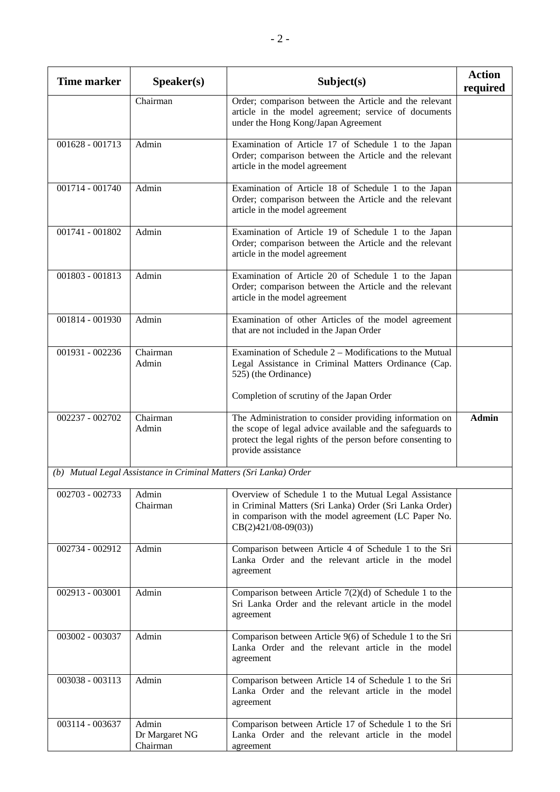| <b>Time marker</b> | Speaker(s)                                                        | Subject(s)                                                                                                                                                                                                | <b>Action</b><br>required |
|--------------------|-------------------------------------------------------------------|-----------------------------------------------------------------------------------------------------------------------------------------------------------------------------------------------------------|---------------------------|
|                    | Chairman                                                          | Order; comparison between the Article and the relevant<br>article in the model agreement; service of documents<br>under the Hong Kong/Japan Agreement                                                     |                           |
| 001628 - 001713    | Admin                                                             | Examination of Article 17 of Schedule 1 to the Japan<br>Order; comparison between the Article and the relevant<br>article in the model agreement                                                          |                           |
| 001714 - 001740    | Admin                                                             | Examination of Article 18 of Schedule 1 to the Japan<br>Order; comparison between the Article and the relevant<br>article in the model agreement                                                          |                           |
| 001741 - 001802    | Admin                                                             | Examination of Article 19 of Schedule 1 to the Japan<br>Order; comparison between the Article and the relevant<br>article in the model agreement                                                          |                           |
| 001803 - 001813    | Admin                                                             | Examination of Article 20 of Schedule 1 to the Japan<br>Order; comparison between the Article and the relevant<br>article in the model agreement                                                          |                           |
| 001814 - 001930    | Admin                                                             | Examination of other Articles of the model agreement<br>that are not included in the Japan Order                                                                                                          |                           |
| 001931 - 002236    | Chairman<br>Admin                                                 | Examination of Schedule $2 -$ Modifications to the Mutual<br>Legal Assistance in Criminal Matters Ordinance (Cap.<br>525) (the Ordinance)                                                                 |                           |
|                    |                                                                   | Completion of scrutiny of the Japan Order                                                                                                                                                                 |                           |
| 002237 - 002702    | Chairman<br>Admin                                                 | The Administration to consider providing information on<br>the scope of legal advice available and the safeguards to<br>protect the legal rights of the person before consenting to<br>provide assistance | <b>Admin</b>              |
|                    | (b) Mutual Legal Assistance in Criminal Matters (Sri Lanka) Order |                                                                                                                                                                                                           |                           |
| 002703 - 002733    | Admin<br>Chairman                                                 | Overview of Schedule 1 to the Mutual Legal Assistance<br>in Criminal Matters (Sri Lanka) Order (Sri Lanka Order)<br>in comparison with the model agreement (LC Paper No.<br>$CB(2)421/08-09(03))$         |                           |
| 002734 - 002912    | Admin                                                             | Comparison between Article 4 of Schedule 1 to the Sri<br>Lanka Order and the relevant article in the model<br>agreement                                                                                   |                           |
| 002913 - 003001    | Admin                                                             | Comparison between Article $7(2)(d)$ of Schedule 1 to the<br>Sri Lanka Order and the relevant article in the model<br>agreement                                                                           |                           |
| 003002 - 003037    | Admin                                                             | Comparison between Article 9(6) of Schedule 1 to the Sri<br>Lanka Order and the relevant article in the model<br>agreement                                                                                |                           |
| 003038 - 003113    | Admin                                                             | Comparison between Article 14 of Schedule 1 to the Sri<br>Lanka Order and the relevant article in the model<br>agreement                                                                                  |                           |
| 003114 - 003637    | Admin<br>Dr Margaret NG<br>Chairman                               | Comparison between Article 17 of Schedule 1 to the Sri<br>Lanka Order and the relevant article in the model<br>agreement                                                                                  |                           |